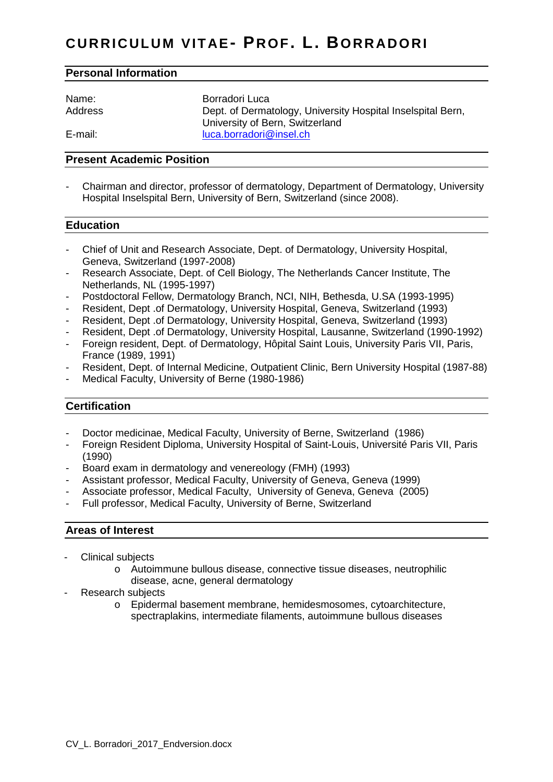## **Personal Information**

| Name:   | Borradori Luca                                              |
|---------|-------------------------------------------------------------|
| Address | Dept. of Dermatology, University Hospital Inselspital Bern, |
|         | University of Bern, Switzerland                             |
| E-mail: | luca.borradori@insel.ch                                     |

#### **Present Academic Position**

- Chairman and director, professor of dermatology, Department of Dermatology, University Hospital Inselspital Bern, University of Bern, Switzerland (since 2008).

### **Education**

- Chief of Unit and Research Associate, Dept. of Dermatology, University Hospital, Geneva, Switzerland (1997-2008)
- Research Associate, Dept. of Cell Biology, The Netherlands Cancer Institute, The Netherlands, NL (1995-1997)
- Postdoctoral Fellow, Dermatology Branch, NCI, NIH, Bethesda, U.SA (1993-1995)
- Resident, Dept .of Dermatology, University Hospital, Geneva, Switzerland (1993)
- Resident, Dept .of Dermatology, University Hospital, Geneva, Switzerland (1993)
- Resident, Dept .of Dermatology, University Hospital, Lausanne, Switzerland (1990-1992)
- Foreign resident, Dept. of Dermatology, Hôpital Saint Louis, University Paris VII, Paris, France (1989, 1991)
- Resident, Dept. of Internal Medicine, Outpatient Clinic, Bern University Hospital (1987-88)
- Medical Faculty, University of Berne (1980-1986)

# **Certification**

- Doctor medicinae, Medical Faculty, University of Berne, Switzerland (1986)
- Foreign Resident Diploma, University Hospital of Saint-Louis, Université Paris VII, Paris (1990)
- Board exam in dermatology and venereology (FMH) (1993)
- Assistant professor, Medical Faculty, University of Geneva, Geneva (1999)
- Associate professor, Medical Faculty, University of Geneva, Geneva (2005)
- Full professor, Medical Faculty, University of Berne, Switzerland

#### **Areas of Interest**

- Clinical subjects
	- o Autoimmune bullous disease, connective tissue diseases, neutrophilic disease, acne, general dermatology
- Research subjects
	- o Epidermal basement membrane, hemidesmosomes, cytoarchitecture, spectraplakins, intermediate filaments, autoimmune bullous diseases